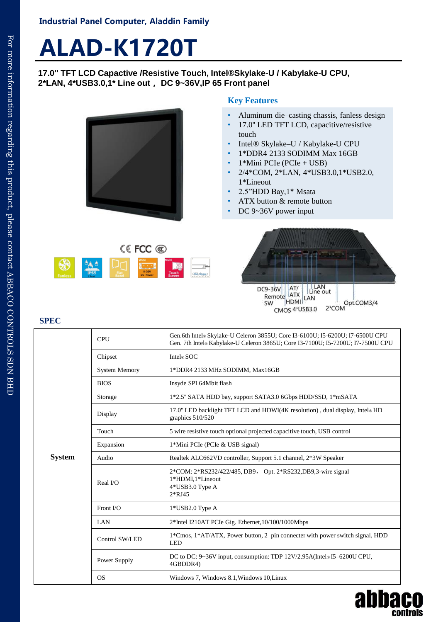# **ALAD-K1720T**

**17.0'' TFT LCD Capactive /Resistive Touch, Intel®Skylake-U / Kabylake-U CPU, 2\*LAN, 4\*USB3.0,1\* Line out, DC 9~36V,IP 65 Front panel**



### **Key Features**

- Aluminum die–casting chassis, fanless design
- 17.0" LED TFT LCD, capacitive/resistive touch
- Intel® Skylake–U / Kabylake-U CPU
- 1\*DDR4 2133 SODIMM Max 16GB
- 1\*Mini PCIe (PCIe + USB)
- 2/4\*COM, 2\*LAN, 4\*USB3.0,1\*USB2.0, 1\*Lineout
- 2.5"HDD Bay,1\* Msata
- ATX button & remote button
- DC 9~36V power input





abba

controls

## **SPEC**

| System | <b>CPU</b>           | Gen.6th Intel® Skylake-U Celeron 3855U; Core I3-6100U; I5-6200U; I7-6500U CPU<br>Gen. 7th Intel® Kabylake-U Celeron 3865U; Core I3-7100U; I5-7200U; I7-7500U CPU |
|--------|----------------------|------------------------------------------------------------------------------------------------------------------------------------------------------------------|
|        | Chipset              | Intel® SOC                                                                                                                                                       |
|        | <b>System Memory</b> | 1*DDR4 2133 MHz SODIMM, Max16GB                                                                                                                                  |
|        | <b>BIOS</b>          | Insyde SPI 64Mbit flash                                                                                                                                          |
|        | Storage              | 1*2.5" SATA HDD bay, support SATA3.0 6Gbps HDD/SSD, 1*mSATA                                                                                                      |
|        | Display              | 17.0" LED backlight TFT LCD and HDWI(4K resolution), dual display, Intel® HD<br>graphics 510/520                                                                 |
|        | Touch                | 5 wire resistive touch optional projected capacitive touch, USB control                                                                                          |
|        | Expansion            | 1*Mini PCIe (PCIe & USB signal)                                                                                                                                  |
|        | Audio                | Realtek ALC662VD controller, Support 5.1 channel, 2*3W Speaker                                                                                                   |
|        | Real I/O             | 2*COM: 2*RS232/422/485, DB9, Opt. 2*RS232, DB9,3-wire signal<br>1*HDMI,1*Lineout<br>4*USB3.0 Type A<br>$2*RJ45$                                                  |
|        | Front I/O            | 1*USB2.0 Type A                                                                                                                                                  |
|        | LAN                  | 2*Intel I210AT PCIe Gig. Ethernet, 10/100/1000Mbps                                                                                                               |
|        | Control SW/LED       | 1*Cmos, 1*AT/ATX, Power button, 2-pin connecter with power switch signal, HDD<br><b>LED</b>                                                                      |
|        | Power Supply         | DC to DC: 9~36V input, consumption: TDP 12V/2.95A(Intel®I5-6200U CPU,<br>4GBDDR4)                                                                                |
|        | <b>OS</b>            | Windows 7, Windows 8.1, Windows 10, Linux                                                                                                                        |
|        |                      |                                                                                                                                                                  |